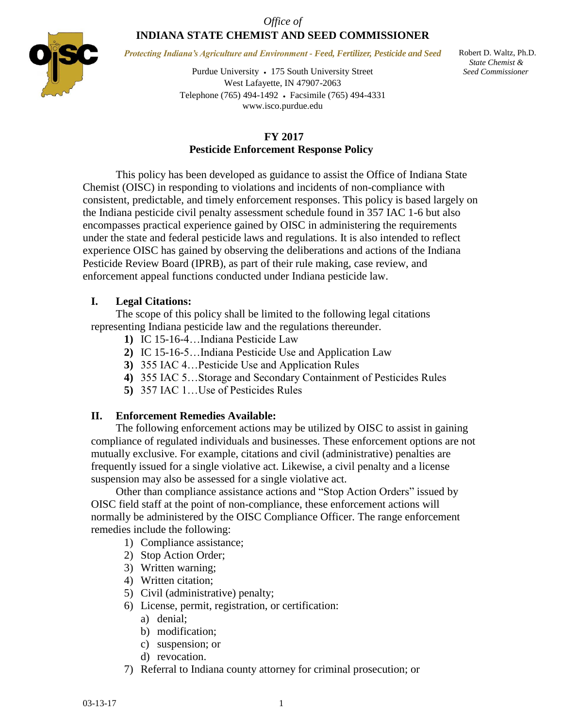## *Office of* **INDIANA STATE CHEMIST AND SEED COMMISSIONER**



*Protecting Indiana's Agriculture and Environment - Feed, Fertilizer, Pesticide and Seed*

Purdue University 175 South University Street West Lafayette, IN 47907-2063 Telephone (765) 494-1492 Facsimile (765) 494-4331 www.isco.purdue.edu

 Robert D. Waltz, Ph.D.  *State Chemist & Seed Commissioner*

# **FY 2017 Pesticide Enforcement Response Policy**

This policy has been developed as guidance to assist the Office of Indiana State Chemist (OISC) in responding to violations and incidents of non-compliance with consistent, predictable, and timely enforcement responses. This policy is based largely on the Indiana pesticide civil penalty assessment schedule found in 357 IAC 1-6 but also encompasses practical experience gained by OISC in administering the requirements under the state and federal pesticide laws and regulations. It is also intended to reflect experience OISC has gained by observing the deliberations and actions of the Indiana Pesticide Review Board (IPRB), as part of their rule making, case review, and enforcement appeal functions conducted under Indiana pesticide law.

# **I. Legal Citations:**

The scope of this policy shall be limited to the following legal citations representing Indiana pesticide law and the regulations thereunder.

- **1)** IC 15-16-4…Indiana Pesticide Law
- **2)** IC 15-16-5…Indiana Pesticide Use and Application Law
- **3)** 355 IAC 4…Pesticide Use and Application Rules
- **4)** 355 IAC 5…Storage and Secondary Containment of Pesticides Rules
- **5)** 357 IAC 1…Use of Pesticides Rules

# **II. Enforcement Remedies Available:**

The following enforcement actions may be utilized by OISC to assist in gaining compliance of regulated individuals and businesses. These enforcement options are not mutually exclusive. For example, citations and civil (administrative) penalties are frequently issued for a single violative act. Likewise, a civil penalty and a license suspension may also be assessed for a single violative act.

Other than compliance assistance actions and "Stop Action Orders" issued by OISC field staff at the point of non-compliance, these enforcement actions will normally be administered by the OISC Compliance Officer*.* The range enforcement remedies include the following:

- 1) Compliance assistance;
- 2) Stop Action Order;
- 3) Written warning;
- 4) Written citation;
- 5) Civil (administrative) penalty;
- 6) License, permit, registration, or certification:
	- a) denial;
	- b) modification;
	- c) suspension; or
	- d) revocation.
- 7) Referral to Indiana county attorney for criminal prosecution; or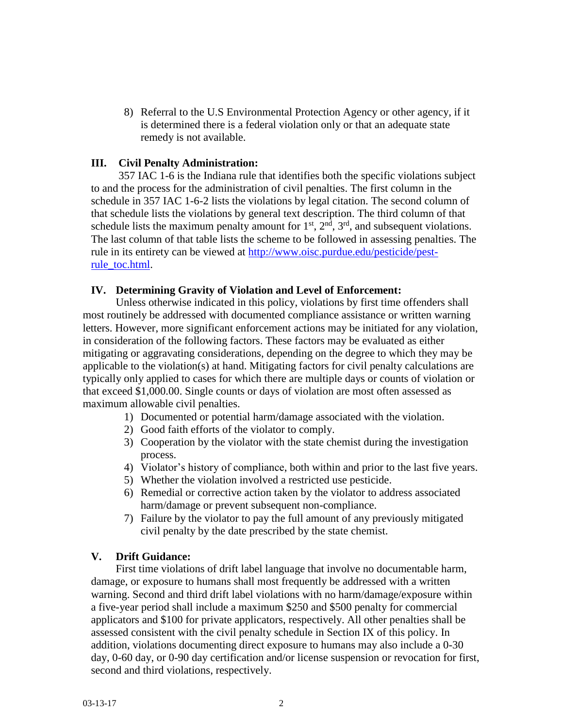8) Referral to the U.S Environmental Protection Agency or other agency, if it is determined there is a federal violation only or that an adequate state remedy is not available.

## **III. Civil Penalty Administration:**

357 IAC 1-6 is the Indiana rule that identifies both the specific violations subject to and the process for the administration of civil penalties. The first column in the schedule in 357 IAC 1-6-2 lists the violations by legal citation. The second column of that schedule lists the violations by general text description. The third column of that schedule lists the maximum penalty amount for  $1<sup>st</sup>$ ,  $2<sup>nd</sup>$ ,  $3<sup>rd</sup>$ , and subsequent violations. The last column of that table lists the scheme to be followed in assessing penalties. The rule in its entirety can be viewed at [http://www.oisc.purdue.edu/pesticide/pest](http://www.oisc.purdue.edu/pesticide/pest-rule_toc.html)[rule\\_toc.html.](http://www.oisc.purdue.edu/pesticide/pest-rule_toc.html)

## **IV. Determining Gravity of Violation and Level of Enforcement:**

Unless otherwise indicated in this policy, violations by first time offenders shall most routinely be addressed with documented compliance assistance or written warning letters. However, more significant enforcement actions may be initiated for any violation, in consideration of the following factors. These factors may be evaluated as either mitigating or aggravating considerations, depending on the degree to which they may be applicable to the violation(s) at hand. Mitigating factors for civil penalty calculations are typically only applied to cases for which there are multiple days or counts of violation or that exceed \$1,000.00. Single counts or days of violation are most often assessed as maximum allowable civil penalties.

- 1) Documented or potential harm/damage associated with the violation.
- 2) Good faith efforts of the violator to comply.
- 3) Cooperation by the violator with the state chemist during the investigation process.
- 4) Violator's history of compliance, both within and prior to the last five years.
- 5) Whether the violation involved a restricted use pesticide.
- 6) Remedial or corrective action taken by the violator to address associated harm/damage or prevent subsequent non-compliance.
- 7) Failure by the violator to pay the full amount of any previously mitigated civil penalty by the date prescribed by the state chemist.

# **V. Drift Guidance:**

First time violations of drift label language that involve no documentable harm, damage, or exposure to humans shall most frequently be addressed with a written warning. Second and third drift label violations with no harm/damage/exposure within a five-year period shall include a maximum \$250 and \$500 penalty for commercial applicators and \$100 for private applicators, respectively. All other penalties shall be assessed consistent with the civil penalty schedule in Section IX of this policy. In addition, violations documenting direct exposure to humans may also include a 0-30 day, 0-60 day, or 0-90 day certification and/or license suspension or revocation for first, second and third violations, respectively.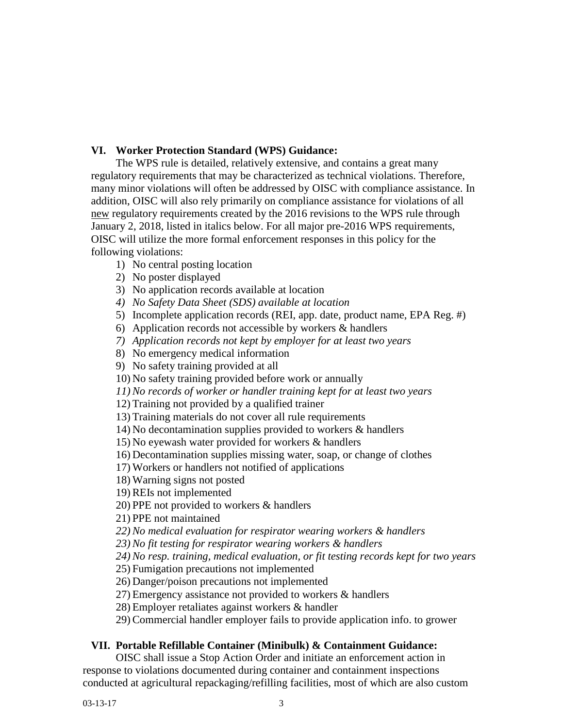## **VI. Worker Protection Standard (WPS) Guidance:**

The WPS rule is detailed, relatively extensive, and contains a great many regulatory requirements that may be characterized as technical violations. Therefore, many minor violations will often be addressed by OISC with compliance assistance. In addition, OISC will also rely primarily on compliance assistance for violations of all new regulatory requirements created by the 2016 revisions to the WPS rule through January 2, 2018, listed in italics below. For all major pre-2016 WPS requirements, OISC will utilize the more formal enforcement responses in this policy for the following violations:

- 1) No central posting location
- 2) No poster displayed
- 3) No application records available at location
- *4) No Safety Data Sheet (SDS) available at location*
- 5) Incomplete application records (REI, app. date, product name, EPA Reg. #)
- 6) Application records not accessible by workers & handlers
- *7) Application records not kept by employer for at least two years*
- 8) No emergency medical information
- 9) No safety training provided at all
- 10) No safety training provided before work or annually
- *11) No records of worker or handler training kept for at least two years*

12) Training not provided by a qualified trainer

- 13) Training materials do not cover all rule requirements
- 14) No decontamination supplies provided to workers & handlers
- 15) No eyewash water provided for workers & handlers
- 16) Decontamination supplies missing water, soap, or change of clothes
- 17) Workers or handlers not notified of applications
- 18) Warning signs not posted
- 19) REIs not implemented
- 20) PPE not provided to workers & handlers
- 21) PPE not maintained
- *22) No medical evaluation for respirator wearing workers & handlers*
- *23) No fit testing for respirator wearing workers & handlers*
- *24) No resp. training, medical evaluation, or fit testing records kept for two years*
- 25) Fumigation precautions not implemented
- 26) Danger/poison precautions not implemented
- 27) Emergency assistance not provided to workers & handlers
- 28) Employer retaliates against workers & handler
- 29) Commercial handler employer fails to provide application info. to grower

## **VII. Portable Refillable Container (Minibulk) & Containment Guidance:**

OISC shall issue a Stop Action Order and initiate an enforcement action in response to violations documented during container and containment inspections conducted at agricultural repackaging/refilling facilities, most of which are also custom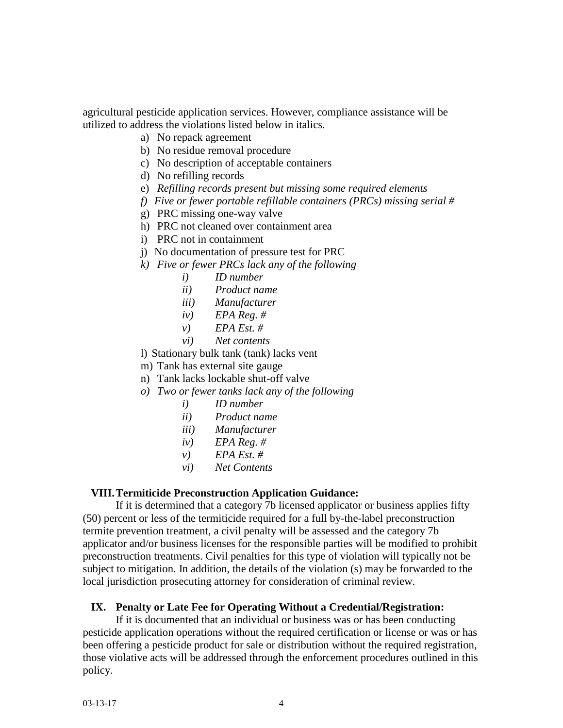agricultural pesticide application services. However, compliance assistance will be utilized to address the violations listed below in italics.

- a) No repack agreement
- b) No residue removal procedure
- c) No description of acceptable containers
- d) No refilling records
- e) *Refilling records present but missing some required elements*
- *f) Five or fewer portable refillable containers (PRCs) missing serial #*
- g) PRC missing one-way valve
- h) PRC not cleaned over containment area
- i) PRC not in containment
- j) No documentation of pressure test for PRC
- *k) Five or fewer PRCs lack any of the following*
	- *i) ID number*
	- *ii) Product name*
	- *iii) Manufacturer*
	- *iv) EPA Reg. #*
	- *v) EPA Est. #*
	- *vi) Net contents*
- l) Stationary bulk tank (tank) lacks vent
- m) Tank has external site gauge
- n) Tank lacks lockable shut-off valve
- *o) Two or fewer tanks lack any of the following*
	- *i) ID number*
	- *ii) Product name*
	- *iii) Manufacturer*
	- *iv) EPA Reg. #*
	- *v) EPA Est. #*
	- *vi) Net Contents*

#### **VIII.Termiticide Preconstruction Application Guidance:**

If it is determined that a category 7b licensed applicator or business applies fifty (50) percent or less of the termiticide required for a full by-the-label preconstruction termite prevention treatment, a civil penalty will be assessed and the category 7b applicator and/or business licenses for the responsible parties will be modified to prohibit preconstruction treatments. Civil penalties for this type of violation will typically not be subject to mitigation. In addition, the details of the violation (s) may be forwarded to the local jurisdiction prosecuting attorney for consideration of criminal review.

## **IX. Penalty or Late Fee for Operating Without a Credential/Registration:**

If it is documented that an individual or business was or has been conducting pesticide application operations without the required certification or license or was or has been offering a pesticide product for sale or distribution without the required registration, those violative acts will be addressed through the enforcement procedures outlined in this policy.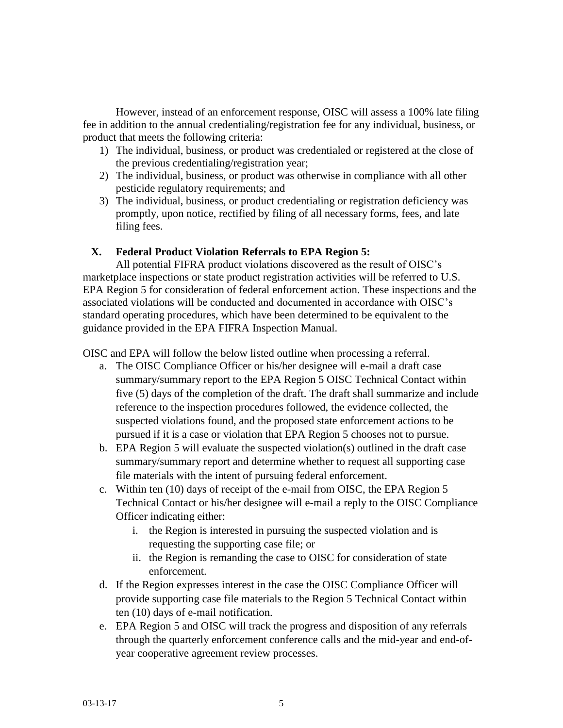However, instead of an enforcement response, OISC will assess a 100% late filing fee in addition to the annual credentialing/registration fee for any individual, business, or product that meets the following criteria:

- 1) The individual, business, or product was credentialed or registered at the close of the previous credentialing/registration year;
- 2) The individual, business, or product was otherwise in compliance with all other pesticide regulatory requirements; and
- 3) The individual, business, or product credentialing or registration deficiency was promptly, upon notice, rectified by filing of all necessary forms, fees, and late filing fees.

## **X. Federal Product Violation Referrals to EPA Region 5:**

All potential FIFRA product violations discovered as the result of OISC's marketplace inspections or state product registration activities will be referred to U.S. EPA Region 5 for consideration of federal enforcement action. These inspections and the associated violations will be conducted and documented in accordance with OISC's standard operating procedures, which have been determined to be equivalent to the guidance provided in the EPA FIFRA Inspection Manual.

OISC and EPA will follow the below listed outline when processing a referral.

- a. The OISC Compliance Officer or his/her designee will e-mail a draft case summary/summary report to the EPA Region 5 OISC Technical Contact within five (5) days of the completion of the draft. The draft shall summarize and include reference to the inspection procedures followed, the evidence collected, the suspected violations found, and the proposed state enforcement actions to be pursued if it is a case or violation that EPA Region 5 chooses not to pursue.
- b. EPA Region 5 will evaluate the suspected violation(s) outlined in the draft case summary/summary report and determine whether to request all supporting case file materials with the intent of pursuing federal enforcement.
- c. Within ten (10) days of receipt of the e-mail from OISC, the EPA Region 5 Technical Contact or his/her designee will e-mail a reply to the OISC Compliance Officer indicating either:
	- i. the Region is interested in pursuing the suspected violation and is requesting the supporting case file; or
	- ii. the Region is remanding the case to OISC for consideration of state enforcement.
- d. If the Region expresses interest in the case the OISC Compliance Officer will provide supporting case file materials to the Region 5 Technical Contact within ten (10) days of e-mail notification.
- e. EPA Region 5 and OISC will track the progress and disposition of any referrals through the quarterly enforcement conference calls and the mid-year and end-ofyear cooperative agreement review processes.